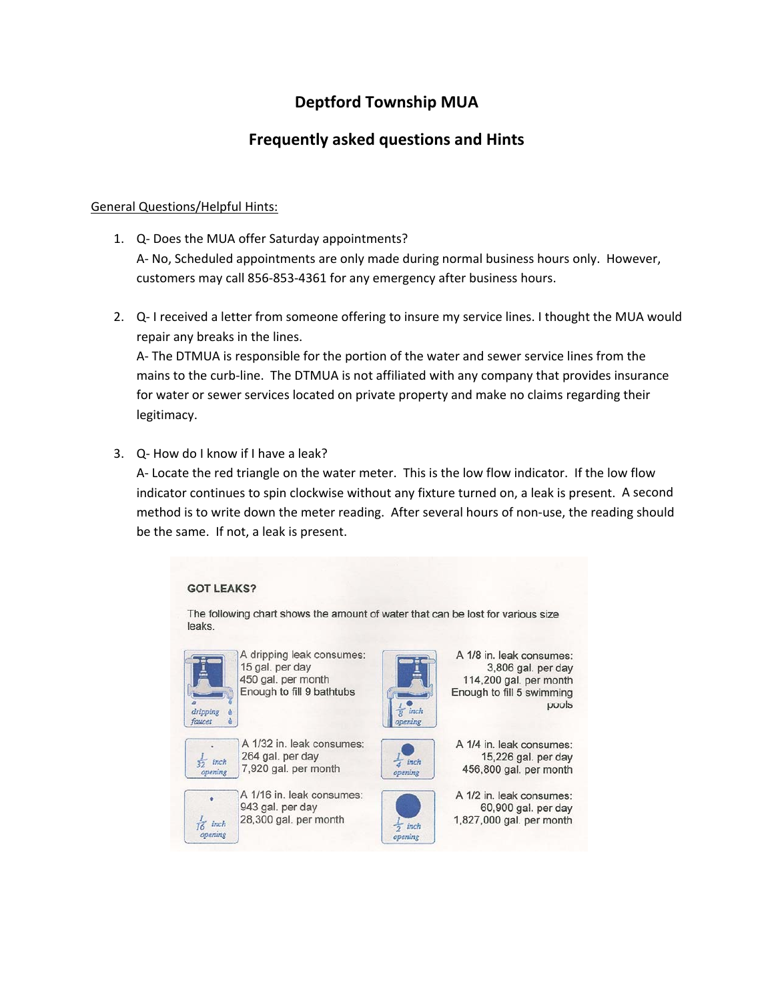# **Deptford Township MUA**

## **Frequently asked questions and Hints**

#### General Questions/Helpful Hints:

- 1. Q‐ Does the MUA offer Saturday appointments? A‐ No, Scheduled appointments are only made during normal business hours only. However, customers may call 856‐853‐4361 for any emergency after business hours.
- 2. Q‐ I received a letter from someone offering to insure my service lines. I thought the MUA would repair any breaks in the lines.

A‐ The DTMUA is responsible for the portion of the water and sewer service lines from the mains to the curb‐line. The DTMUA is not affiliated with any company that provides insurance for water or sewer services located on private property and make no claims regarding their legitimacy.

3. Q‐ How do I know if I have a leak?

A‐ Locate the red triangle on the water meter. This is the low flow indicator. If the low flow indicator continues to spin clockwise without any fixture turned on, a leak is present. A second method is to write down the meter reading. After several hours of non‐use, the reading should be the same. If not, a leak is present.

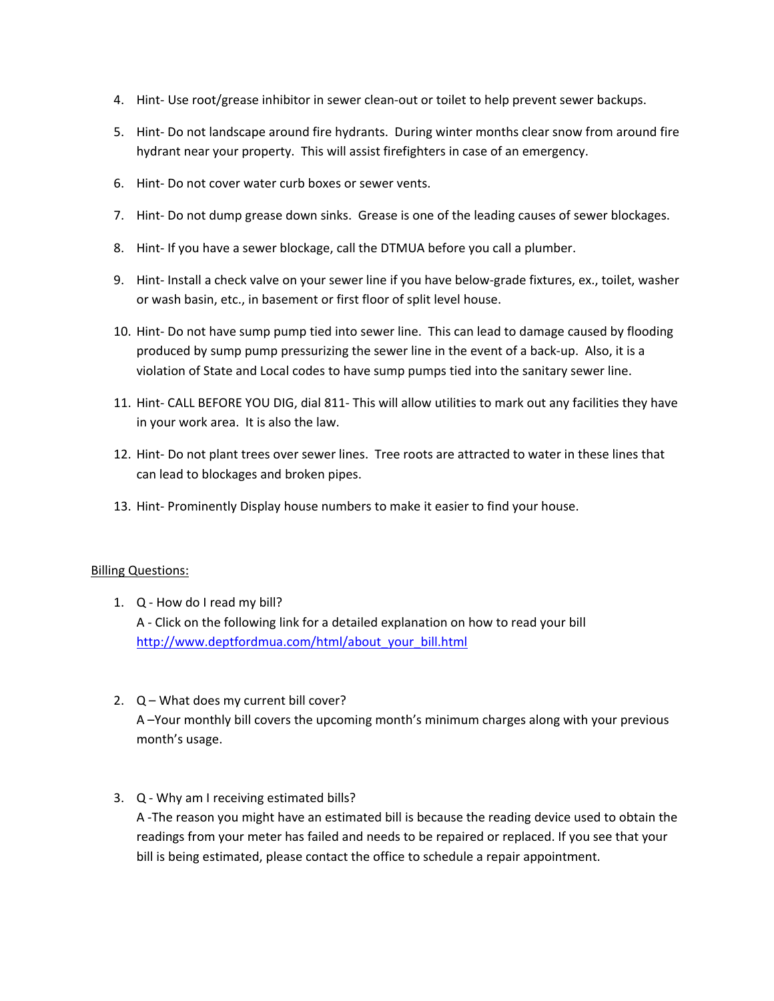- 4. Hint-Use root/grease inhibitor in sewer clean-out or toilet to help prevent sewer backups.
- 5. Hint-Do not landscape around fire hydrants. During winter months clear snow from around fire hydrant near your property. This will assist firefighters in case of an emergency.
- 6. Hint‐ Do not cover water curb boxes or sewer vents.
- 7. Hint- Do not dump grease down sinks. Grease is one of the leading causes of sewer blockages.
- 8. Hint- If you have a sewer blockage, call the DTMUA before you call a plumber.
- 9. Hint‐ Install a check valve on your sewer line if you have below‐grade fixtures, ex., toilet, washer or wash basin, etc., in basement or first floor of split level house.
- 10. Hint‐ Do not have sump pump tied into sewer line. This can lead to damage caused by flooding produced by sump pump pressurizing the sewer line in the event of a back‐up. Also, it is a violation of State and Local codes to have sump pumps tied into the sanitary sewer line.
- 11. Hint‐ CALL BEFORE YOU DIG, dial 811‐ This will allow utilities to mark out any facilities they have in your work area. It is also the law.
- 12. Hint‐ Do not plant trees over sewer lines. Tree roots are attracted to water in these lines that can lead to blockages and broken pipes.
- 13. Hint- Prominently Display house numbers to make it easier to find your house.

#### Billing Questions:

- 1. Q ‐ How do I read my bill? A ‐ Click on the following link for a detailed explanation on how to read your bill http://www.deptfordmua.com/html/about\_your\_bill.html
- 2. Q What does my current bill cover? A –Your monthly bill covers the upcoming month's minimum charges along with your previous month's usage.

#### 3. Q ‐ Why am I receiving estimated bills?

A ‐The reason you might have an estimated bill is because the reading device used to obtain the readings from your meter has failed and needs to be repaired or replaced. If you see that your bill is being estimated, please contact the office to schedule a repair appointment.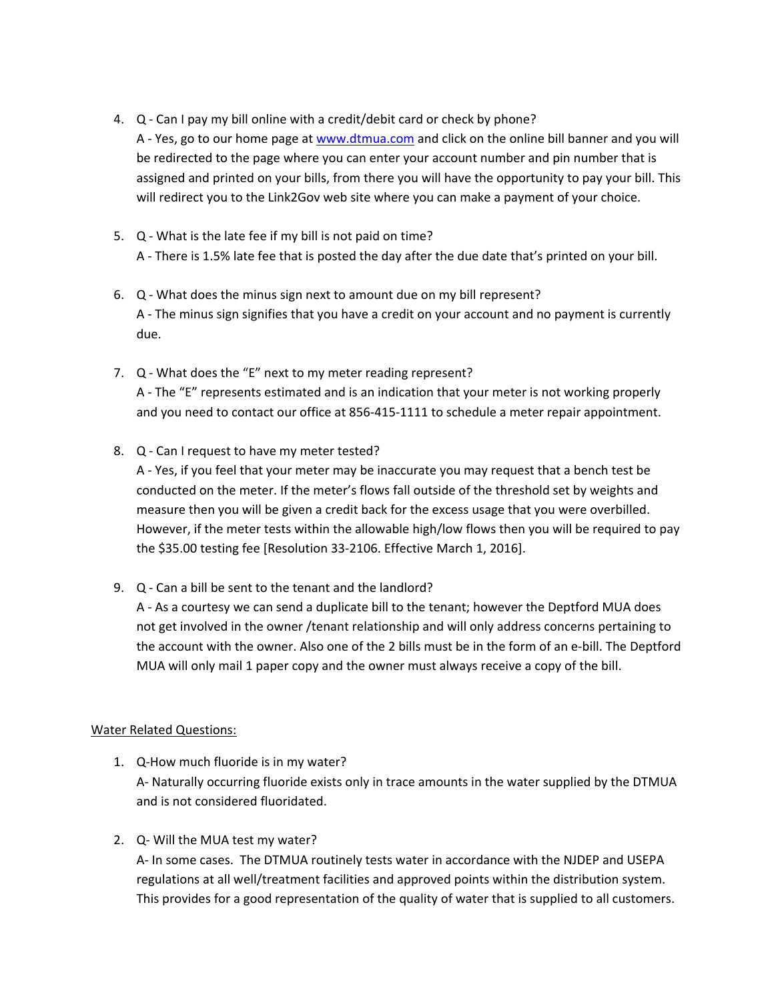4. Q - Can I pay my bill online with a credit/debit card or check by phone?

A - Yes, go to our home page at www.dtmua.com and click on the online bill banner and you will be redirected to the page where you can enter your account number and pin number that is assigned and printed on your bills, from there you will have the opportunity to pay your bill. This will redirect you to the Link2Gov web site where you can make a payment of your choice.

- 5. Q What is the late fee if my bill is not paid on time? A ‐ There is 1.5% late fee that is posted the day after the due date that's printed on your bill.
- 6. Q ‐ What does the minus sign next to amount due on my bill represent? A - The minus sign signifies that you have a credit on your account and no payment is currently due.
- 7. Q What does the "E" next to my meter reading represent? A - The "E" represents estimated and is an indication that your meter is not working properly and you need to contact our office at 856‐415‐1111 to schedule a meter repair appointment.
- 8. Q Can I request to have my meter tested?

A ‐ Yes, if you feel that your meter may be inaccurate you may request that a bench test be conducted on the meter. If the meter's flows fall outside of the threshold set by weights and measure then you will be given a credit back for the excess usage that you were overbilled. However, if the meter tests within the allowable high/low flows then you will be required to pay the \$35.00 testing fee [Resolution 33‐2106. Effective March 1, 2016].

9. Q ‐ Can a bill be sent to the tenant and the landlord?

A ‐ As a courtesy we can send a duplicate bill to the tenant; however the Deptford MUA does not get involved in the owner /tenant relationship and will only address concerns pertaining to the account with the owner. Also one of the 2 bills must be in the form of an e‐bill. The Deptford MUA will only mail 1 paper copy and the owner must always receive a copy of the bill.

### Water Related Questions:

- 1. Q‐How much fluoride is in my water? A‐ Naturally occurring fluoride exists only in trace amounts in the water supplied by the DTMUA and is not considered fluoridated.
- 2. Q‐ Will the MUA test my water?

A‐ In some cases. The DTMUA routinely tests water in accordance with the NJDEP and USEPA regulations at all well/treatment facilities and approved points within the distribution system. This provides for a good representation of the quality of water that is supplied to all customers.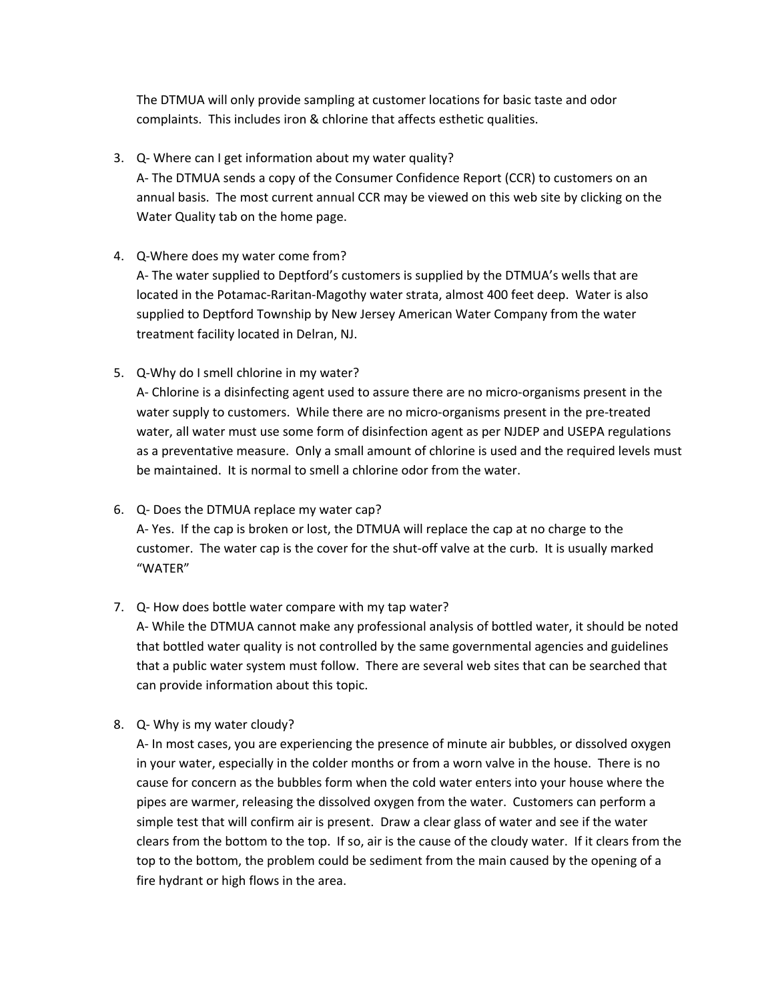The DTMUA will only provide sampling at customer locations for basic taste and odor complaints. This includes iron & chlorine that affects esthetic qualities.

3. Q‐ Where can I get information about my water quality? A‐ The DTMUA sends a copy of the Consumer Confidence Report (CCR) to customers on an

annual basis. The most current annual CCR may be viewed on this web site by clicking on the Water Quality tab on the home page.

## 4. Q‐Where does my water come from?

A‐ The water supplied to Deptford's customers is supplied by the DTMUA's wells that are located in the Potamac‐Raritan‐Magothy water strata, almost 400 feet deep. Water is also supplied to Deptford Township by New Jersey American Water Company from the water treatment facility located in Delran, NJ.

5. Q‐Why do I smell chlorine in my water?

A‐ Chlorine is a disinfecting agent used to assure there are no micro‐organisms present in the water supply to customers. While there are no micro-organisms present in the pre-treated water, all water must use some form of disinfection agent as per NJDEP and USEPA regulations as a preventative measure. Only a small amount of chlorine is used and the required levels must be maintained. It is normal to smell a chlorine odor from the water.

6. Q‐ Does the DTMUA replace my water cap?

A‐ Yes. If the cap is broken or lost, the DTMUA will replace the cap at no charge to the customer. The water cap is the cover for the shut‐off valve at the curb. It is usually marked "WATER"

7. Q‐ How does bottle water compare with my tap water?

A‐ While the DTMUA cannot make any professional analysis of bottled water, it should be noted that bottled water quality is not controlled by the same governmental agencies and guidelines that a public water system must follow. There are several web sites that can be searched that can provide information about this topic.

8. Q‐ Why is my water cloudy?

A‐ In most cases, you are experiencing the presence of minute air bubbles, or dissolved oxygen in your water, especially in the colder months or from a worn valve in the house. There is no cause for concern as the bubbles form when the cold water enters into your house where the pipes are warmer, releasing the dissolved oxygen from the water. Customers can perform a simple test that will confirm air is present. Draw a clear glass of water and see if the water clears from the bottom to the top. If so, air is the cause of the cloudy water. If it clears from the top to the bottom, the problem could be sediment from the main caused by the opening of a fire hydrant or high flows in the area.